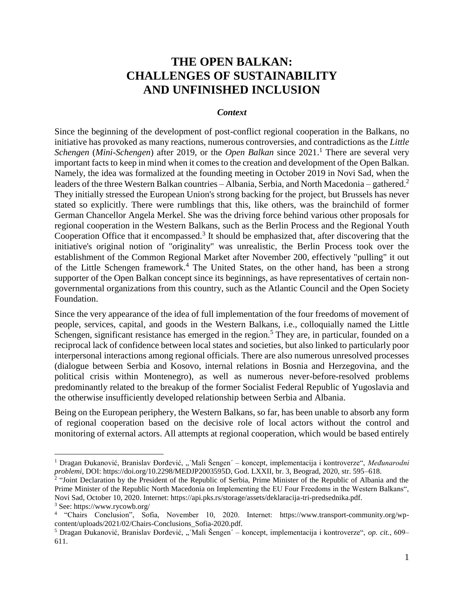# **THE OPEN BALKAN: CHALLENGES OF SUSTAINABILITY AND UNFINISHED INCLUSION**

#### *Context*

Since the beginning of the development of post-conflict regional cooperation in the Balkans, no initiative has provoked as many reactions, numerous controversies, and contradictions as the *Little Schengen* (*Mini-Schengen*) after 2019, or the *Open Balkan* since 2021.<sup>1</sup> There are several very important facts to keep in mind when it comes to the creation and development of the Open Balkan. Namely, the idea was formalized at the founding meeting in October 2019 in Novi Sad, when the leaders of the three Western Balkan countries – Albania, Serbia, and North Macedonia – gathered.<sup>2</sup> They initially stressed the European Union's strong backing for the project, but Brussels has never stated so explicitly. There were rumblings that this, like others, was the brainchild of former German Chancellor Angela Merkel. She was the driving force behind various other proposals for regional cooperation in the Western Balkans, such as the Berlin Process and the Regional Youth Cooperation Office that it encompassed.<sup>3</sup> It should be emphasized that, after discovering that the initiative's original notion of "originality" was unrealistic, the Berlin Process took over the establishment of the Common Regional Market after November 200, effectively "pulling" it out of the Little Schengen framework.<sup>4</sup> The United States, on the other hand, has been a strong supporter of the Open Balkan concept since its beginnings, as have representatives of certain nongovernmental organizations from this country, such as the Atlantic Council and the Open Society Foundation.

Since the very appearance of the idea of full implementation of the four freedoms of movement of people, services, capital, and goods in the Western Balkans, i.e., colloquially named the Little Schengen, significant resistance has emerged in the region.<sup>5</sup> They are, in particular, founded on a reciprocal lack of confidence between local states and societies, but also linked to particularly poor interpersonal interactions among regional officials. There are also numerous unresolved processes (dialogue between Serbia and Kosovo, internal relations in Bosnia and Herzegovina, and the political crisis within Montenegro), as well as numerous never-before-resolved problems predominantly related to the breakup of the former Socialist Federal Republic of Yugoslavia and the otherwise insufficiently developed relationship between Serbia and Albania.

Being on the European periphery, the Western Balkans, so far, has been unable to absorb any form of regional cooperation based on the decisive role of local actors without the control and monitoring of external actors. All attempts at regional cooperation, which would be based entirely

<sup>&</sup>lt;sup>1</sup> Dragan Đukanović, Branislav Đorđević, "´Mali Šengen´ – koncept, implementacija i kontroverze", Međunarodni *problemi,* DOI: https://doi.org/10.2298/MEDJP2003595D, God. LXXII, br. 3, Beograd, 2020, str. 595–618.

<sup>&</sup>lt;sup>2</sup> "Joint Declaration by the President of the Republic of Serbia, Prime Minister of the Republic of Albania and the Prime Minister of the Republic North Macedonia on Implementing the EU Four Freedoms in the Western Balkans", Novi Sad, October 10, 2020. Internet: https://api.pks.rs/storage/assets/deklaracija-tri-predsednika.pdf.

<sup>3</sup> See: https://www.rycowb.org/

<sup>4</sup> "Chairs Conclusion", Sofia, November 10, 2020. Internet: https://www.transport-community.org/wpcontent/uploads/2021/02/Chairs-Conclusions\_Sofia-2020.pdf.

<sup>&</sup>lt;sup>5</sup> Dragan Đukanović, Branislav Đorđević, "´Mali Šengen´ – koncept, implementacija i kontroverze", *op. cit.*, 609– 611.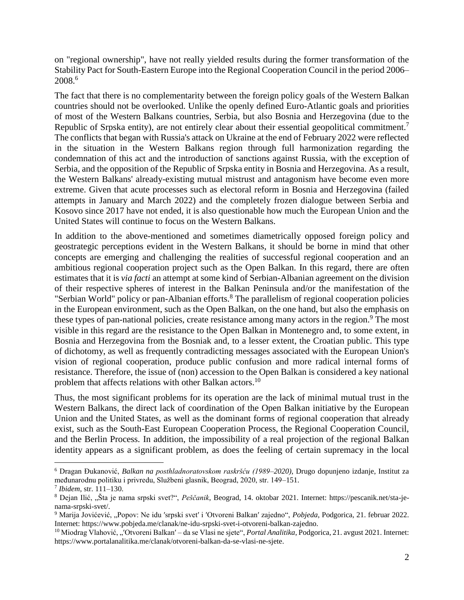on "regional ownership", have not really yielded results during the former transformation of the Stability Pact for South-Eastern Europe into the Regional Cooperation Council in the period 2006– 2008. 6

The fact that there is no complementarity between the foreign policy goals of the Western Balkan countries should not be overlooked. Unlike the openly defined Euro-Atlantic goals and priorities of most of the Western Balkans countries, Serbia, but also Bosnia and Herzegovina (due to the Republic of Srpska entity), are not entirely clear about their essential geopolitical commitment.<sup>7</sup> The conflicts that began with Russia's attack on Ukraine at the end of February 2022 were reflected in the situation in the Western Balkans region through full harmonization regarding the condemnation of this act and the introduction of sanctions against Russia, with the exception of Serbia, and the opposition of the Republic of Srpska entity in Bosnia and Herzegovina. As a result, the Western Balkans' already-existing mutual mistrust and antagonism have become even more extreme. Given that acute processes such as electoral reform in Bosnia and Herzegovina (failed attempts in January and March 2022) and the completely frozen dialogue between Serbia and Kosovo since 2017 have not ended, it is also questionable how much the European Union and the United States will continue to focus on the Western Balkans.

In addition to the above-mentioned and sometimes diametrically opposed foreign policy and geostrategic perceptions evident in the Western Balkans, it should be borne in mind that other concepts are emerging and challenging the realities of successful regional cooperation and an ambitious regional cooperation project such as the Open Balkan. In this regard, there are often estimates that it is *via facti* an attempt at some kind of Serbian-Albanian agreement on the division of their respective spheres of interest in the Balkan Peninsula and/or the manifestation of the "Serbian World" policy or pan-Albanian efforts.<sup>8</sup> The parallelism of regional cooperation policies in the European environment, such as the Open Balkan, on the one hand, but also the emphasis on these types of pan-national policies, create resistance among many actors in the region.<sup>9</sup> The most visible in this regard are the resistance to the Open Balkan in Montenegro and, to some extent, in Bosnia and Herzegovina from the Bosniak and, to a lesser extent, the Croatian public. This type of dichotomy, as well as frequently contradicting messages associated with the European Union's vision of regional cooperation, produce public confusion and more radical internal forms of resistance. Therefore, the issue of (non) accession to the Open Balkan is considered a key national problem that affects relations with other Balkan actors.<sup>10</sup>

Thus, the most significant problems for its operation are the lack of minimal mutual trust in the Western Balkans, the direct lack of coordination of the Open Balkan initiative by the European Union and the United States, as well as the dominant forms of regional cooperation that already exist, such as the South-East European Cooperation Process, the Regional Cooperation Council, and the Berlin Process. In addition, the impossibility of a real projection of the regional Balkan identity appears as a significant problem, as does the feeling of certain supremacy in the local

<sup>6</sup> Dragan Đukanović, *Balkan na posthladnoratovskom raskršću (1989*‒*2020)*, Drugo dopunjeno izdanje, Institut za međunarodnu politiku i privredu, Službeni glasnik, Beograd, 2020, str. 149–151.

<sup>7</sup> *Ibidem*, str. 111–130.

<sup>8</sup> Dejan Ilić, "Šta je nama srpski svet?", *Peščanik*, Beograd, 14. oktobar 2021. Internet: https://pescanik.net/sta-jenama-srpski-svet/.

<sup>9</sup> Marija Jovićević, "Popov: Ne idu ′srpski svet′ i ′Otvoreni Balkan′ zajedno", *Pobjeda*, Podgorica, 21. februar 2022. Internet: https://www.pobjeda.me/clanak/ne-idu-srpski-svet-i-otvoreni-balkan-zajedno.

<sup>10</sup> Miodrag Vlahović, "′Otvoreni Balkan′ – da se Vlasi ne sjete", *Portal Analitika*, Podgorica, 21. avgust 2021. Internet: https://www.portalanalitika.me/clanak/otvoreni-balkan-da-se-vlasi-ne-sjete.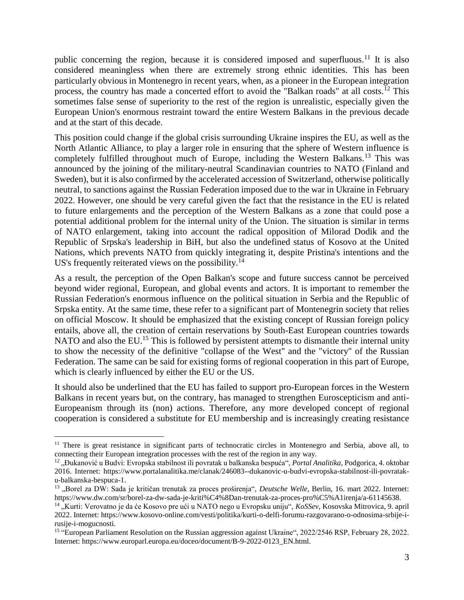public concerning the region, because it is considered imposed and superfluous.<sup>11</sup> It is also considered meaningless when there are extremely strong ethnic identities. This has been particularly obvious in Montenegro in recent years, when, as a pioneer in the European integration process, the country has made a concerted effort to avoid the "Balkan roads" at all costs.<sup>12</sup> This sometimes false sense of superiority to the rest of the region is unrealistic, especially given the European Union's enormous restraint toward the entire Western Balkans in the previous decade and at the start of this decade.

This position could change if the global crisis surrounding Ukraine inspires the EU, as well as the North Atlantic Alliance, to play a larger role in ensuring that the sphere of Western influence is completely fulfilled throughout much of Europe, including the Western Balkans.<sup>13</sup> This was announced by the joining of the military-neutral Scandinavian countries to NATO (Finland and Sweden), but it is also confirmed by the accelerated accession of Switzerland, otherwise politically neutral, to sanctions against the Russian Federation imposed due to the war in Ukraine in February 2022. However, one should be very careful given the fact that the resistance in the EU is related to future enlargements and the perception of the Western Balkans as a zone that could pose a potential additional problem for the internal unity of the Union. The situation is similar in terms of NATO enlargement, taking into account the radical opposition of Milorad Dodik and the Republic of Srpska's leadership in BiH, but also the undefined status of Kosovo at the United Nations, which prevents NATO from quickly integrating it, despite Pristina's intentions and the US's frequently reiterated views on the possibility.<sup>14</sup>

As a result, the perception of the Open Balkan's scope and future success cannot be perceived beyond wider regional, European, and global events and actors. It is important to remember the Russian Federation's enormous influence on the political situation in Serbia and the Republic of Srpska entity. At the same time, these refer to a significant part of Montenegrin society that relies on official Moscow. It should be emphasized that the existing concept of Russian foreign policy entails, above all, the creation of certain reservations by South-East European countries towards NATO and also the EU.<sup>15</sup> This is followed by persistent attempts to dismantle their internal unity to show the necessity of the definitive "collapse of the West" and the "victory" of the Russian Federation. The same can be said for existing forms of regional cooperation in this part of Europe, which is clearly influenced by either the EU or the US.

It should also be underlined that the EU has failed to support pro-European forces in the Western Balkans in recent years but, on the contrary, has managed to strengthen Euroscepticism and anti-Europeanism through its (non) actions. Therefore, any more developed concept of regional cooperation is considered a substitute for EU membership and is increasingly creating resistance

<sup>&</sup>lt;sup>11</sup> There is great resistance in significant parts of technocratic circles in Montenegro and Serbia, above all, to connecting their European integration processes with the rest of the region in any way.

<sup>&</sup>lt;sup>12</sup>, Dukanović u Budvi: Evropska stabilnost ili povratak u balkanska bespuća", *Portal Analitika*, Podgorica, 4. oktobar 2016. Internet: https://www.portalanalitika.me/clanak/246083--dukanovic-u-budvi-evropska-stabilnost-ili-povrataku-balkanska-bespuca-1.

<sup>&</sup>lt;sup>13</sup> "Borel za DW: Sada je kritičan trenutak za proces proširenja", *Deutsche Welle*, Berlin, 16. mart 2022. Internet: https://www.dw.com/sr/borel-za-dw-sada-je-kriti%C4%8Dan-trenutak-za-proces-pro%C5%A1irenja/a-61145638.

<sup>14</sup> "Kurti: Verovatno je da će Kosovo pre ući u NATO nego u Evropsku uniju", *KoSSev*, Kosovska Mitrovica, 9. april 2022. Internet: https://www.kosovo-online.com/vesti/politika/kurti-o-delfi-forumu-razgovarano-o-odnosima-srbije-irusije-i-mogucnosti.

<sup>&</sup>lt;sup>15</sup> "European Parliament Resolution on the Russian aggression against Ukraine", 2022/2546 RSP, February 28, 2022. Internet: https://www.europarl.europa.eu/doceo/document/B-9-2022-0123\_EN.html.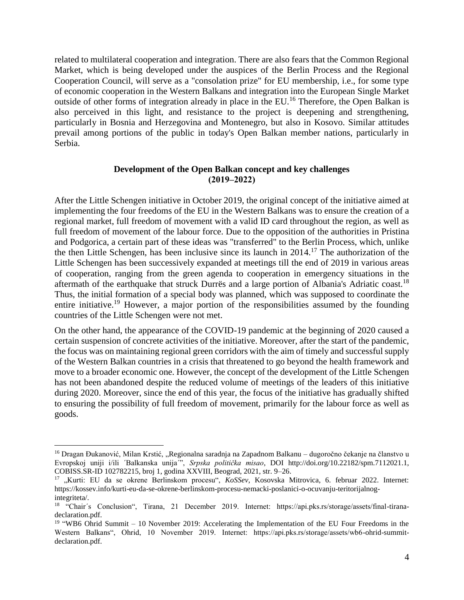related to multilateral cooperation and integration. There are also fears that the Common Regional Market, which is being developed under the auspices of the Berlin Process and the Regional Cooperation Council, will serve as a "consolation prize" for EU membership, i.e., for some type of economic cooperation in the Western Balkans and integration into the European Single Market outside of other forms of integration already in place in the EU.<sup>16</sup> Therefore, the Open Balkan is also perceived in this light, and resistance to the project is deepening and strengthening, particularly in Bosnia and Herzegovina and Montenegro, but also in Kosovo. Similar attitudes prevail among portions of the public in today's Open Balkan member nations, particularly in Serbia.

#### **Development of the Open Balkan concept and key challenges (2019‒2022)**

After the Little Schengen initiative in October 2019, the original concept of the initiative aimed at implementing the four freedoms of the EU in the Western Balkans was to ensure the creation of a regional market, full freedom of movement with a valid ID card throughout the region, as well as full freedom of movement of the labour force. Due to the opposition of the authorities in Pristina and Podgorica, a certain part of these ideas was "transferred" to the Berlin Process, which, unlike the then Little Schengen, has been inclusive since its launch in 2014.<sup>17</sup> The authorization of the Little Schengen has been successively expanded at meetings till the end of 2019 in various areas of cooperation, ranging from the green agenda to cooperation in emergency situations in the aftermath of the earthquake that struck Durrës and a large portion of Albania's Adriatic coast.<sup>18</sup> Thus, the initial formation of a special body was planned, which was supposed to coordinate the entire initiative.<sup>19</sup> However, a major portion of the responsibilities assumed by the founding countries of the Little Schengen were not met.

On the other hand, the appearance of the COVID-19 pandemic at the beginning of 2020 caused a certain suspension of concrete activities of the initiative. Moreover, after the start of the pandemic, the focus was on maintaining regional green corridors with the aim of timely and successful supply of the Western Balkan countries in a crisis that threatened to go beyond the health framework and move to a broader economic one. However, the concept of the development of the Little Schengen has not been abandoned despite the reduced volume of meetings of the leaders of this initiative during 2020. Moreover, since the end of this year, the focus of the initiative has gradually shifted to ensuring the possibility of full freedom of movement, primarily for the labour force as well as goods.

<sup>&</sup>lt;sup>16</sup> Dragan Đukanović, Milan Krstić, "Regionalna saradnja na Zapadnom Balkanu – dugoročno čekanje na članstvo u Evropskoj uniji i/ili ´Balkanska unija´", *Srpska politička misao*, DOI http://doi.org/10.22182/spm.7112021.1, COBISS.SR-ID 102782215, broj 1, godina XXVIII, Beograd, 2021, str. 9–26.

<sup>&</sup>lt;sup>17</sup> "Kurti: EU da se okrene Berlinskom procesu", *KoSSev*, Kosovska Mitrovica, 6. februar 2022. Internet: https://kossev.info/kurti-eu-da-se-okrene-berlinskom-procesu-nemacki-poslanici-o-ocuvanju-teritorijalnogintegriteta/.

<sup>&</sup>lt;sup>18</sup> "Chair's Conclusion", Tirana, 21 December 2019. Internet: https://api.pks.rs/storage/assets/final-tiranadeclaration.pdf.

<sup>&</sup>lt;sup>19</sup> "WB6 Ohrid Summit – 10 November 2019: Accelerating the Implementation of the EU Four Freedoms in the Western Balkans", Ohrid, 10 November 2019. Internet: https://api.pks.rs/storage/assets/wb6-ohrid-summitdeclaration.pdf.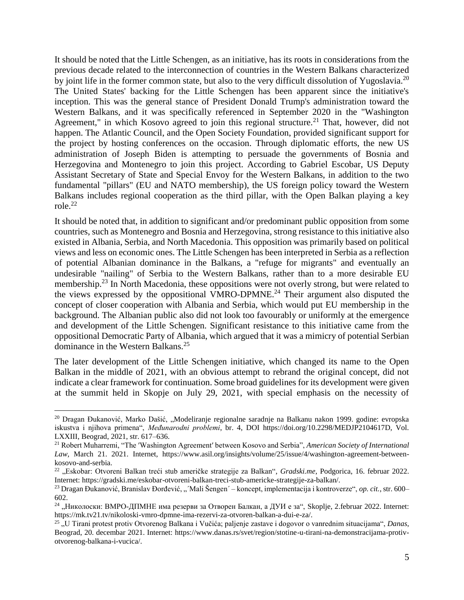It should be noted that the Little Schengen, as an initiative, has its roots in considerations from the previous decade related to the interconnection of countries in the Western Balkans characterized by joint life in the former common state, but also to the very difficult dissolution of Yugoslavia.<sup>20</sup> The United States' backing for the Little Schengen has been apparent since the initiative's inception. This was the general stance of President Donald Trump's administration toward the Western Balkans, and it was specifically referenced in September 2020 in the "Washington Agreement," in which Kosovo agreed to join this regional structure.<sup>21</sup> That, however, did not happen. The Atlantic Council, and the Open Society Foundation, provided significant support for the project by hosting conferences on the occasion. Through diplomatic efforts, the new US administration of Joseph Biden is attempting to persuade the governments of Bosnia and Herzegovina and Montenegro to join this project. According to Gabriel Escobar, US Deputy Assistant Secretary of State and Special Envoy for the Western Balkans, in addition to the two fundamental "pillars" (EU and NATO membership), the US foreign policy toward the Western Balkans includes regional cooperation as the third pillar, with the Open Balkan playing a key role. 22

It should be noted that, in addition to significant and/or predominant public opposition from some countries, such as Montenegro and Bosnia and Herzegovina, strong resistance to this initiative also existed in Albania, Serbia, and North Macedonia. This opposition was primarily based on political views and less on economic ones. The Little Schengen has been interpreted in Serbia as a reflection of potential Albanian dominance in the Balkans, a "refuge for migrants" and eventually an undesirable "nailing" of Serbia to the Western Balkans, rather than to a more desirable EU membership.<sup>23</sup> In North Macedonia, these oppositions were not overly strong, but were related to the views expressed by the oppositional VMRO-DPMNE.<sup>24</sup> Their argument also disputed the concept of closer cooperation with Albania and Serbia, which would put EU membership in the background. The Albanian public also did not look too favourably or uniformly at the emergence and development of the Little Schengen. Significant resistance to this initiative came from the oppositional Democratic Party of Albania, which argued that it was a mimicry of potential Serbian dominance in the Western Balkans.<sup>25</sup>

The later development of the Little Schengen initiative, which changed its name to the Open Balkan in the middle of 2021, with an obvious attempt to rebrand the original concept, did not indicate a clear framework for continuation. Some broad guidelines for its development were given at the summit held in Skopje on July 29, 2021, with special emphasis on the necessity of

<sup>&</sup>lt;sup>20</sup> Dragan Đukanović, Marko Dašić, "Modeliranje regionalne saradnje na Balkanu nakon 1999. godine: evropska iskustva i njihova primena", *Međunarodni problemi*, br. 4, DOI https://doi.org/10.2298/MEDJP2104617D, Vol. LXXIII, Beograd, 2021, str. 617–636.

<sup>21</sup> Robert Muharremi, "The ′Washington Agreement′ between Kosovo and Serbia", *American Society of International Law*, March 21. 2021. Internet, https://www.asil.org/insights/volume/25/issue/4/washington-agreement-betweenkosovo-and-serbia.

<sup>&</sup>lt;sup>22</sup> "Eskobar: Otvoreni Balkan treći stub američke strategije za Balkan", *Gradski.me*, Podgorica, 16. februar 2022. Internet: https://gradski.me/eskobar-otvoreni-balkan-treci-stub-americke-strategije-za-balkan/.

<sup>&</sup>lt;sup>23</sup> Dragan Đukanović, Branislav Đorđević, "´Mali Šengen´ – koncept, implementacija i kontroverze", *op. cit.*, str. 600– 602.

<sup>&</sup>lt;sup>24</sup> "Николоски: ВМРО-ДПМНЕ има резерви за Отворен Балкан, а ДУИ е за", Skoplje, 2.februar 2022. Internet: https://mk.tv21.tv/nikoloski-vmro-dpmne-ima-rezervi-za-otvoren-balkan-a-dui-e-za/.

<sup>25</sup> "U Tirani protest protiv Otvorenog Balkana i Vučića; paljenje zastave i dogovor o vanrednim situacijama", *Danas*, Beograd, 20. decembar 2021. Internet: https://www.danas.rs/svet/region/stotine-u-tirani-na-demonstracijama-protivotvorenog-balkana-i-vucica/.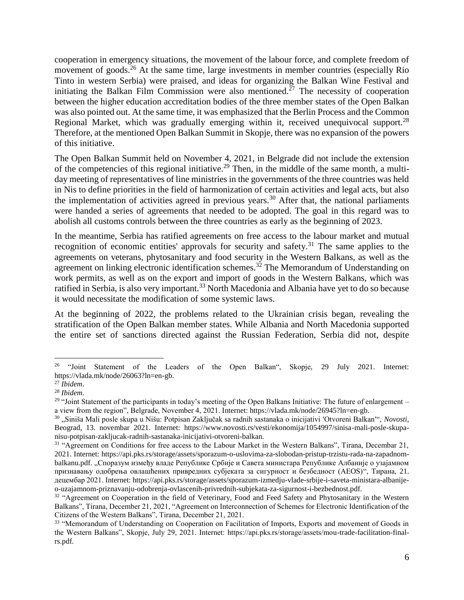cooperation in emergency situations, the movement of the labour force, and complete freedom of movement of goods.<sup>26</sup> At the same time, large investments in member countries (especially Rio Tinto in western Serbia) were praised, and ideas for organizing the Balkan Wine Festival and initiating the Balkan Film Commission were also mentioned.<sup>27</sup> The necessity of cooperation between the higher education accreditation bodies of the three member states of the Open Balkan was also pointed out. At the same time, it was emphasized that the Berlin Process and the Common Regional Market, which was gradually emerging within it, received unequivocal support.<sup>28</sup> Therefore, at the mentioned Open Balkan Summit in Skopje, there was no expansion of the powers of this initiative.

The Open Balkan Summit held on November 4, 2021, in Belgrade did not include the extension of the competencies of this regional initiative.<sup>29</sup> Then, in the middle of the same month, a multiday meeting of representatives of line ministries in the governments of the three countries was held in Nis to define priorities in the field of harmonization of certain activities and legal acts, but also the implementation of activities agreed in previous years.<sup>30</sup> After that, the national parliaments were handed a series of agreements that needed to be adopted. The goal in this regard was to abolish all customs controls between the three countries as early as the beginning of 2023.

In the meantime, Serbia has ratified agreements on free access to the labour market and mutual recognition of economic entities' approvals for security and safety.<sup>31</sup> The same applies to the agreements on veterans, phytosanitary and food security in the Western Balkans, as well as the agreement on linking electronic identification schemes.<sup>32</sup> The Memorandum of Understanding on work permits, as well as on the export and import of goods in the Western Balkans, which was ratified in Serbia, is also very important.<sup>33</sup> North Macedonia and Albania have yet to do so because it would necessitate the modification of some systemic laws.

At the beginning of 2022, the problems related to the Ukrainian crisis began, revealing the stratification of the Open Balkan member states. While Albania and North Macedonia supported the entire set of sanctions directed against the Russian Federation, Serbia did not, despite

<sup>&</sup>lt;sup>26</sup> "Joint Statement of the Leaders of the Open Balkan", Skopje, 29 July 2021. Internet: https://vlada.mk/node/26063?ln=en-gb.

<sup>27</sup> *Ibidem*.

<sup>28</sup> *Ibidem*.

<sup>&</sup>lt;sup>29</sup> "Joint Statement of the participants in today's meeting of the Open Balkans Initiative: The future of enlargement – a view from the region", Belgrade, November 4, 2021. Internet: https://vlada.mk/node/26945?ln=en-gb.

<sup>30</sup> "Siniša Mali posle skupa u Nišu: Potpisan Zaključak sa radnih sastanaka o inicijativi ′Otvoreni Balkan′", *Novosti*, Beograd, 13. novembar 2021. Internet: https://www.novosti.rs/vesti/ekonomija/1054997/sinisa-mali-posle-skupanisu-potpisan-zakljucak-radnih-sastanaka-inicijativi-otvoreni-balkan.

<sup>&</sup>lt;sup>31</sup> "Agreement on Conditions for free access to the Labour Market in the Western Balkans", Tirana, Decembar 21, 2021. Internet: https://api.pks.rs/storage/assets/sporazum-o-uslovima-za-slobodan-pristup-trzistu-rada-na-zapadnombalkanu.pdf. "Споразум између владе Републике Србије и Савета министара Републике Албаније о узајамном признавању одобрења овлашћених привредних субјеката за сигурност и безбедност (АЕОS)", Тирана, 21. децембар 2021. Internet: https://api.pks.rs/storage/assets/sporazum-izmedju-vlade-srbije-i-saveta-ministara-albanijeo-uzajamnom-priznavanju-odobrenja-ovlascenih-privrednih-subjekata-za-sigurnost-i-bezbednost.pdf.

<sup>&</sup>lt;sup>32</sup> "Agreement on Cooperation in the field of Veterinary, Food and Feed Safety and Phytosanitary in the Western Balkans", Tirana, December 21, 2021, "Agreement on Interconnection of Schemes for Electronic Identification of the Citizens of the Western Balkans", Tirana, December 21, 2021.

<sup>&</sup>lt;sup>33</sup> "Memorandum of Understanding on Cooperation on Facilitation of Imports, Exports and movement of Goods in the Western Balkans", Skopje, July 29, 2021. Internet: https://api.pks.rs/storage/assets/mou-trade-facilitation-finalrs.pdf.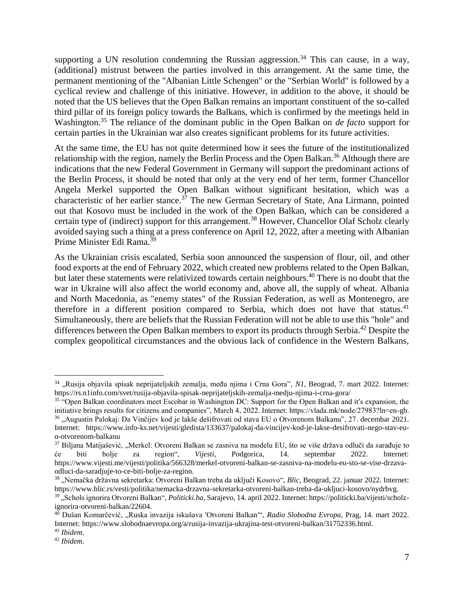supporting a UN resolution condemning the Russian aggression.<sup>34</sup> This can cause, in a way, (additional) mistrust between the parties involved in this arrangement. At the same time, the permanent mentioning of the "Albanian Little Schengen" or the "Serbian World" is followed by a cyclical review and challenge of this initiative. However, in addition to the above, it should be noted that the US believes that the Open Balkan remains an important constituent of the so-called third pillar of its foreign policy towards the Balkans, which is confirmed by the meetings held in Washington.<sup>35</sup> The reliance of the dominant public in the Open Balkan on *de facto* support for certain parties in the Ukrainian war also creates significant problems for its future activities.

At the same time, the EU has not quite determined how it sees the future of the institutionalized relationship with the region, namely the Berlin Process and the Open Balkan.<sup>36</sup> Although there are indications that the new Federal Government in Germany will support the predominant actions of the Berlin Process, it should be noted that only at the very end of her term, former Chancellor Angela Merkel supported the Open Balkan without significant hesitation, which was a characteristic of her earlier stance.<sup>37</sup> The new German Secretary of State, Ana Lirmann, pointed out that Kosovo must be included in the work of the Open Balkan, which can be considered a certain type of (indirect) support for this arrangement.<sup>38</sup> However, Chancellor Olaf Scholz clearly avoided saying such a thing at a press conference on April 12, 2022, after a meeting with Albanian Prime Minister Edi Rama.<sup>39</sup>

As the Ukrainian crisis escalated, Serbia soon announced the suspension of flour, oil, and other food exports at the end of February 2022, which created new problems related to the Open Balkan, but later these statements were relativized towards certain neighbours.<sup>40</sup> There is no doubt that the war in Ukraine will also affect the world economy and, above all, the supply of wheat. Albania and North Macedonia, as "enemy states" of the Russian Federation, as well as Montenegro, are therefore in a different position compared to Serbia, which does not have that status. $4<sup>1</sup>$ Simultaneously, there are beliefs that the Russian Federation will not be able to use this "hole" and differences between the Open Balkan members to export its products through Serbia.<sup>42</sup> Despite the complex geopolitical circumstances and the obvious lack of confidence in the Western Balkans,

<sup>&</sup>lt;sup>34</sup> "Rusija objavila spisak neprijateljskih zemalja, među njima i Crna Gora", N1, Beograd, 7. mart 2022. Internet: https://rs.n1info.com/svet/rusija-objavila-spisak-neprijateljskih-zemalja-medju-njima-i-crna-gora/

<sup>&</sup>lt;sup>35 "</sup>Open Balkan coordinators meet Escobar in Washington DC: Support for the Open Balkan and it's expansion, the initiative brings results for citizens and companies", March 4, 2022. Internet: https://vlada.mk/node/27983?ln=en-gb. <sup>36</sup> "Augustin Palokaj: Da Vinčijev kod je lakše dešifrovati od stava EU o Otvorenom Balkanu", 27. decembar 2021. Internet: https://www.info-ks.net/vijesti/gledista/133637/palokaj-da-vincijev-kod-je-lakse-desifrovati-nego-stav-euo-otvorenom-balkanu

<sup>&</sup>lt;sup>37</sup> Biljana Matijašević, "Merkel: Otvoreni Balkan se zasniva na modelu EU, što se više država odluči da sarađuje to će biti bolje za region", *Vijesti*, Podgorica, 14. septembar 2022. Internet: https://www.vijesti.me/vijesti/politika/566328/merkel-otvoreni-balkan-se-zasniva-na-modelu-eu-sto-se-vise-drzavaodluci-da-saradjuje-to-ce-biti-bolje-za-region.

<sup>38</sup> "Nemačka državna sekretarka: Otvoreni Balkan treba da uključi Kosovo", *Blic*, Beograd, 22. januar 2022. Internet: https://www.blic.rs/vesti/politika/nemacka-drzavna-sekretarka-otvoreni-balkan-treba-da-ukljuci-kosovo/nydrbvg.

<sup>&</sup>lt;sup>39</sup>, Schols ignorira Otvoreni Balkan", *Politicki.ba*, Sarajevo, 14. april 2022. Internet: https://politicki.ba/vijesti/scholzignorira-otvoreni-balkan/22604.

<sup>40</sup> Dušan Komarčević, "Ruska invazija iskušava ′Otvoreni Balkan′", *Radio Slobodna Evropa*, Prag, 14. mart 2022. Internet: https://www.slobodnaevropa.org/a/rusija-invazija-ukrajina-test-otvoreni-balkan/31752336.html.

<sup>41</sup> *Ibidem*.

<sup>42</sup> *Ibidem*.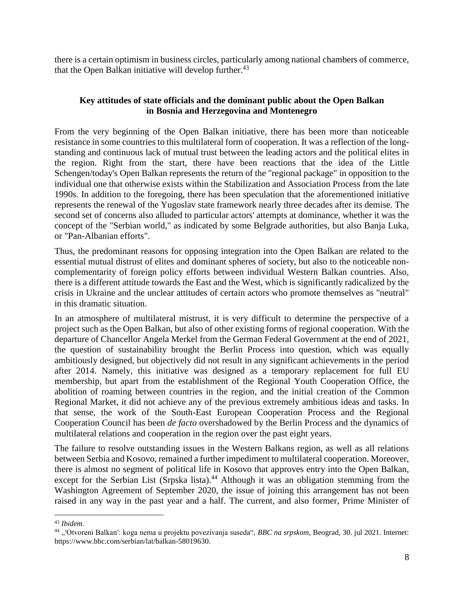there is a certain optimism in business circles, particularly among national chambers of commerce, that the Open Balkan initiative will develop further. $43$ 

## **Key attitudes of state officials and the dominant public about the Open Balkan in Bosnia and Herzegovina and Montenegro**

From the very beginning of the Open Balkan initiative, there has been more than noticeable resistance in some countries to this multilateral form of cooperation. It was a reflection of the longstanding and continuous lack of mutual trust between the leading actors and the political elites in the region. Right from the start, there have been reactions that the idea of the Little Schengen/today's Open Balkan represents the return of the "regional package" in opposition to the individual one that otherwise exists within the Stabilization and Association Process from the late 1990s. In addition to the foregoing, there has been speculation that the aforementioned initiative represents the renewal of the Yugoslav state framework nearly three decades after its demise. The second set of concerns also alluded to particular actors' attempts at dominance, whether it was the concept of the "Serbian world," as indicated by some Belgrade authorities, but also Banja Luka, or "Pan-Albanian efforts".

Thus, the predominant reasons for opposing integration into the Open Balkan are related to the essential mutual distrust of elites and dominant spheres of society, but also to the noticeable noncomplementarity of foreign policy efforts between individual Western Balkan countries. Also, there is a different attitude towards the East and the West, which is significantly radicalized by the crisis in Ukraine and the unclear attitudes of certain actors who promote themselves as "neutral" in this dramatic situation.

In an atmosphere of multilateral mistrust, it is very difficult to determine the perspective of a project such as the Open Balkan, but also of other existing forms of regional cooperation. With the departure of Chancellor Angela Merkel from the German Federal Government at the end of 2021, the question of sustainability brought the Berlin Process into question, which was equally ambitiously designed, but objectively did not result in any significant achievements in the period after 2014. Namely, this initiative was designed as a temporary replacement for full EU membership, but apart from the establishment of the Regional Youth Cooperation Office, the abolition of roaming between countries in the region, and the initial creation of the Common Regional Market, it did not achieve any of the previous extremely ambitious ideas and tasks. In that sense, the work of the South-East European Cooperation Process and the Regional Cooperation Council has been *de facto* overshadowed by the Berlin Process and the dynamics of multilateral relations and cooperation in the region over the past eight years.

The failure to resolve outstanding issues in the Western Balkans region, as well as all relations between Serbia and Kosovo, remained a further impediment to multilateral cooperation. Moreover, there is almost no segment of political life in Kosovo that approves entry into the Open Balkan, except for the Serbian List (Srpska lista).<sup>44</sup> Although it was an obligation stemming from the Washington Agreement of September 2020, the issue of joining this arrangement has not been raised in any way in the past year and a half. The current, and also former, Prime Minister of

 $\overline{a}$ <sup>43</sup> *Ibidem*.

<sup>44</sup> "′Otvoreni Balkan′: koga nema u projektu povezivanja suseda", *BBC na srpskom*, Beograd, 30. jul 2021. Internet: https://www.bbc.com/serbian/lat/balkan-58019630.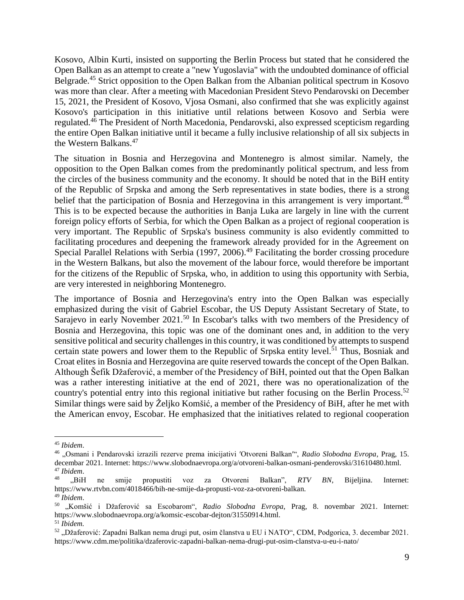Kosovo, Albin Kurti, insisted on supporting the Berlin Process but stated that he considered the Open Balkan as an attempt to create a "new Yugoslavia" with the undoubted dominance of official Belgrade.<sup>45</sup> Strict opposition to the Open Balkan from the Albanian political spectrum in Kosovo was more than clear. After a meeting with Macedonian President Stevo Pendarovski on December 15, 2021, the President of Kosovo, Vjosa Osmani, also confirmed that she was explicitly against Kosovo's participation in this initiative until relations between Kosovo and Serbia were regulated.<sup>46</sup> The President of North Macedonia, Pendarovski, also expressed scepticism regarding the entire Open Balkan initiative until it became a fully inclusive relationship of all six subjects in the Western Balkans.<sup>47</sup>

The situation in Bosnia and Herzegovina and Montenegro is almost similar. Namely, the opposition to the Open Balkan comes from the predominantly political spectrum, and less from the circles of the business community and the economy. It should be noted that in the BiH entity of the Republic of Srpska and among the Serb representatives in state bodies, there is a strong belief that the participation of Bosnia and Herzegovina in this arrangement is very important.<sup>48</sup> This is to be expected because the authorities in Banja Luka are largely in line with the current foreign policy efforts of Serbia, for which the Open Balkan as a project of regional cooperation is very important. The Republic of Srpska's business community is also evidently committed to facilitating procedures and deepening the framework already provided for in the Agreement on Special Parallel Relations with Serbia (1997, 2006).<sup>49</sup> Facilitating the border crossing procedure in the Western Balkans, but also the movement of the labour force, would therefore be important for the citizens of the Republic of Srpska, who, in addition to using this opportunity with Serbia, are very interested in neighboring Montenegro.

The importance of Bosnia and Herzegovina's entry into the Open Balkan was especially emphasized during the visit of Gabriel Escobar, the US Deputy Assistant Secretary of State, to Sarajevo in early November 2021.<sup>50</sup> In Escobar's talks with two members of the Presidency of Bosnia and Herzegovina, this topic was one of the dominant ones and, in addition to the very sensitive political and security challenges in this country, it was conditioned by attempts to suspend certain state powers and lower them to the Republic of Srpska entity level.<sup>51</sup> Thus, Bosniak and Croat elites in Bosnia and Herzegovina are quite reserved towards the concept of the Open Balkan. Although Šefik Džaferović, a member of the Presidency of BiH, pointed out that the Open Balkan was a rather interesting initiative at the end of 2021, there was no operationalization of the country's potential entry into this regional initiative but rather focusing on the Berlin Process.<sup>52</sup> Similar things were said by Željko Komšić, a member of the Presidency of BiH, after he met with the American envoy, Escobar. He emphasized that the initiatives related to regional cooperation

<sup>45</sup> *Ibidem*.

<sup>46</sup> "Osmani i Pendarovski izrazili rezerve prema inicijativi ′Otvoreni Balkan′", *Radio Slobodna Evropa*, Prag, 15. decembar 2021. Internet: https://www.slobodnaevropa.org/a/otvoreni-balkan-osmani-penderovski/31610480.html. <sup>47</sup> *Ibidem*.

<sup>&</sup>lt;sup>48</sup> "BiH ne smije propustiti voz za Otvoreni Balkan", *RTV BN*, Bijeljina. Internet: https://www.rtvbn.com/4018466/bih-ne-smije-da-propusti-voz-za-otvoreni-balkan. <sup>49</sup> *Ibidem*.

<sup>50</sup> "Komšić i Džaferović sa Escobarom", *Radio Slobodna Evropa*, Prag, 8. novembar 2021. Internet: https://www.slobodnaevropa.org/a/komsic-escobar-dejton/31550914.html. <sup>51</sup> *Ibidem.*

<sup>52</sup> "Džaferović: Zapadni Balkan nema drugi put, osim članstva u EU i NATO", CDM, Podgorica, 3. decembar 2021. https://www.cdm.me/politika/dzaferovic-zapadni-balkan-nema-drugi-put-osim-clanstva-u-eu-i-nato/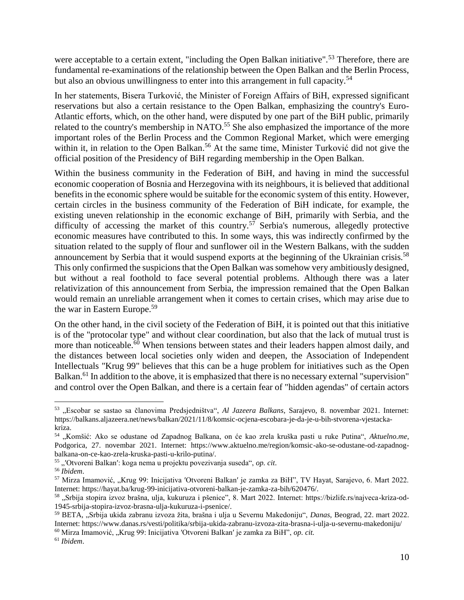were acceptable to a certain extent, "including the Open Balkan initiative".<sup>53</sup> Therefore, there are fundamental re-examinations of the relationship between the Open Balkan and the Berlin Process, but also an obvious unwillingness to enter into this arrangement in full capacity.<sup>54</sup>

In her statements, Bisera Turković, the Minister of Foreign Affairs of BiH, expressed significant reservations but also a certain resistance to the Open Balkan, emphasizing the country's Euro-Atlantic efforts, which, on the other hand, were disputed by one part of the BiH public, primarily related to the country's membership in NATO.<sup>55</sup> She also emphasized the importance of the more important roles of the Berlin Process and the Common Regional Market, which were emerging within it, in relation to the Open Balkan.<sup>56</sup> At the same time, Minister Turković did not give the official position of the Presidency of BiH regarding membership in the Open Balkan.

Within the business community in the Federation of BiH, and having in mind the successful economic cooperation of Bosnia and Herzegovina with its neighbours, it is believed that additional benefits in the economic sphere would be suitable for the economic system of this entity. However, certain circles in the business community of the Federation of BiH indicate, for example, the existing uneven relationship in the economic exchange of BiH, primarily with Serbia, and the difficulty of accessing the market of this country.<sup>57</sup> Serbia's numerous, allegedly protective economic measures have contributed to this. In some ways, this was indirectly confirmed by the situation related to the supply of flour and sunflower oil in the Western Balkans, with the sudden announcement by Serbia that it would suspend exports at the beginning of the Ukrainian crisis.<sup>58</sup> This only confirmed the suspicions that the Open Balkan was somehow very ambitiously designed, but without a real foothold to face several potential problems. Although there was a later relativization of this announcement from Serbia, the impression remained that the Open Balkan would remain an unreliable arrangement when it comes to certain crises, which may arise due to the war in Eastern Europe.<sup>59</sup>

On the other hand, in the civil society of the Federation of BiH, it is pointed out that this initiative is of the "protocolar type" and without clear coordination, but also that the lack of mutual trust is more than noticeable.<sup>60</sup> When tensions between states and their leaders happen almost daily, and the distances between local societies only widen and deepen, the Association of Independent Intellectuals "Krug 99" believes that this can be a huge problem for initiatives such as the Open Balkan.<sup>61</sup> In addition to the above, it is emphasized that there is no necessary external "supervision" and control over the Open Balkan, and there is a certain fear of "hidden agendas" of certain actors

 $\overline{a}$ 

<sup>60</sup> Mirza Imamović, "Krug 99: Inicijativa ′Otvoreni Balkan′ je zamka za BiH", *op. cit.*

<sup>53</sup> "Escobar se sastao sa članovima Predsjedništva", *Al Jazeera Balkans*, Sarajevo, 8. novembar 2021. Internet: https://balkans.aljazeera.net/news/balkan/2021/11/8/komsic-ocjena-escobara-je-da-je-u-bih-stvorena-vjestackakriza.

<sup>54</sup> "Komšić: Ako se odustane od Zapadnog Balkana, on će kao zrela kruška pasti u ruke Putina", *Aktuelno.me*, Podgorica, 27. novembar 2021. Internet: https://www.aktuelno.me/region/komsic-ako-se-odustane-od-zapadnogbalkana-on-ce-kao-zrela-kruska-pasti-u-krilo-putina/.

<sup>55</sup> "′Otvoreni Balkan′: koga nema u projektu povezivanja suseda", *op. cit*.

<sup>56</sup> *Ibidem*.

<sup>57</sup> Mirza Imamović, "Krug 99: Inicijativa ′Otvoreni Balkan′ je zamka za BiH", TV Hayat, Sarajevo, 6. Mart 2022. Internet: https://hayat.ba/krug-99-inicijativa-otvoreni-balkan-je-zamka-za-bih/620476/.

<sup>58 &</sup>quot;Srbija stopira izvoz brašna, ulja, kukuruza i pšenice", 8. Mart 2022. Internet: https://bizlife.rs/najveca-kriza-od-1945-srbija-stopira-izvoz-brasna-ulja-kukuruza-i-psenice/.

<sup>59</sup> BETA, "Srbija ukida zabranu izvoza žita, brašna i ulja u Severnu Makedoniju", *Danas*, Beograd, 22. mart 2022. Internet: https://www.danas.rs/vesti/politika/srbija-ukida-zabranu-izvoza-zita-brasna-i-ulja-u-severnu-makedoniju/

<sup>61</sup> *Ibidem*.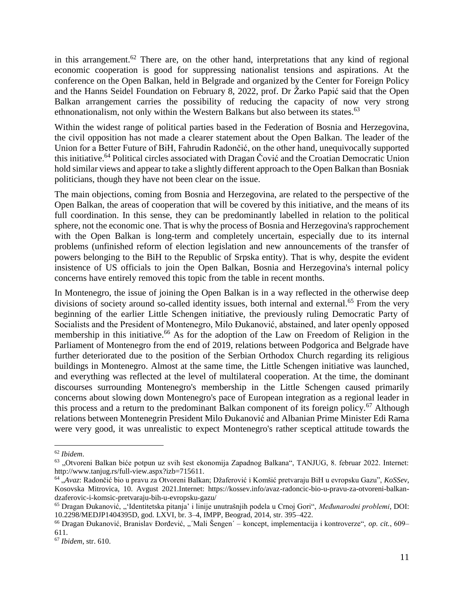in this arrangement.<sup>62</sup> There are, on the other hand, interpretations that any kind of regional economic cooperation is good for suppressing nationalist tensions and aspirations. At the conference on the Open Balkan, held in Belgrade and organized by the Center for Foreign Policy and the Hanns Seidel Foundation on February 8, 2022, prof. Dr Žarko Papić said that the Open Balkan arrangement carries the possibility of reducing the capacity of now very strong ethnonationalism, not only within the Western Balkans but also between its states.<sup>63</sup>

Within the widest range of political parties based in the Federation of Bosnia and Herzegovina, the civil opposition has not made a clearer statement about the Open Balkan. The leader of the Union for a Better Future of BiH, Fahrudin Radončić, on the other hand, unequivocally supported this initiative.<sup>64</sup> Political circles associated with Dragan Čović and the Croatian Democratic Union hold similar views and appear to take a slightly different approach to the Open Balkan than Bosniak politicians, though they have not been clear on the issue.

The main objections, coming from Bosnia and Herzegovina, are related to the perspective of the Open Balkan, the areas of cooperation that will be covered by this initiative, and the means of its full coordination. In this sense, they can be predominantly labelled in relation to the political sphere, not the economic one. That is why the process of Bosnia and Herzegovina's rapprochement with the Open Balkan is long-term and completely uncertain, especially due to its internal problems (unfinished reform of election legislation and new announcements of the transfer of powers belonging to the BiH to the Republic of Srpska entity). That is why, despite the evident insistence of US officials to join the Open Balkan, Bosnia and Herzegovina's internal policy concerns have entirely removed this topic from the table in recent months.

In Montenegro, the issue of joining the Open Balkan is in a way reflected in the otherwise deep divisions of society around so-called identity issues, both internal and external.<sup>65</sup> From the very beginning of the earlier Little Schengen initiative, the previously ruling Democratic Party of Socialists and the President of Montenegro, Milo Đukanović, abstained, and later openly opposed membership in this initiative.<sup>66</sup> As for the adoption of the Law on Freedom of Religion in the Parliament of Montenegro from the end of 2019, relations between Podgorica and Belgrade have further deteriorated due to the position of the Serbian Orthodox Church regarding its religious buildings in Montenegro. Almost at the same time, the Little Schengen initiative was launched, and everything was reflected at the level of multilateral cooperation. At the time, the dominant discourses surrounding Montenegro's membership in the Little Schengen caused primarily concerns about slowing down Montenegro's pace of European integration as a regional leader in this process and a return to the predominant Balkan component of its foreign policy.<sup>67</sup> Although relations between Montenegrin President Milo Đukanović and Albanian Prime Minister Edi Rama were very good, it was unrealistic to expect Montenegro's rather sceptical attitude towards the

<sup>62</sup> *Ibidem*.

<sup>&</sup>lt;sup>63</sup> "Otvoreni Balkan biće potpun uz svih šest ekonomija Zapadnog Balkana", TANJUG, 8. februar 2022. Internet: http://www.tanjug.rs/full-view.aspx?izb=715611.

<sup>64</sup> "*Avaz*: Radončić bio u pravu za Otvoreni Balkan; Džaferović i Komšić pretvaraju BiH u evropsku Gazu", *KoSSev*, Kosovska Mitrovica, 10. Avgust 2021.Internet: https://kossev.info/avaz-radoncic-bio-u-pravu-za-otvoreni-balkandzaferovic-i-komsic-pretvaraju-bih-u-evropsku-gazu/

<sup>65</sup> Dragan Đukanović, "'Identitetska pitanja' i linije unutrašnjih podela u Crnoj Gori", *Međunarodni problemi*, DOI: 10.2298/MEDJP1404395D, god. LXVI, br. 3–4, IMPP, Beograd, 2014, str. 395–422.

<sup>&</sup>lt;sup>66</sup> Dragan Đukanović, Branislav Đorđević, "´Mali Šengen´ – koncept, implementacija i kontroverze", *op. cit.*, 609– 611.

<sup>67</sup> *Ibidem*, str. 610.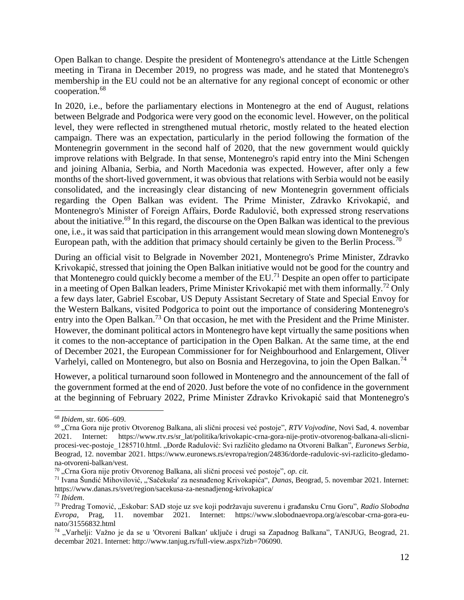Open Balkan to change. Despite the president of Montenegro's attendance at the Little Schengen meeting in Tirana in December 2019, no progress was made, and he stated that Montenegro's membership in the EU could not be an alternative for any regional concept of economic or other cooperation. 68

In 2020, i.e., before the parliamentary elections in Montenegro at the end of August, relations between Belgrade and Podgorica were very good on the economic level. However, on the political level, they were reflected in strengthened mutual rhetoric, mostly related to the heated election campaign. There was an expectation, particularly in the period following the formation of the Montenegrin government in the second half of 2020, that the new government would quickly improve relations with Belgrade. In that sense, Montenegro's rapid entry into the Mini Schengen and joining Albania, Serbia, and North Macedonia was expected. However, after only a few months of the short-lived government, it was obvious that relations with Serbia would not be easily consolidated, and the increasingly clear distancing of new Montenegrin government officials regarding the Open Balkan was evident. The Prime Minister, Zdravko Krivokapić, and Montenegro's Minister of Foreign Affairs, Đorđe Radulović, both expressed strong reservations about the initiative.<sup>69</sup> In this regard, the discourse on the Open Balkan was identical to the previous one, i.e., it was said that participation in this arrangement would mean slowing down Montenegro's European path, with the addition that primacy should certainly be given to the Berlin Process.<sup>70</sup>

During an official visit to Belgrade in November 2021, Montenegro's Prime Minister, Zdravko Krivokapić, stressed that joining the Open Balkan initiative would not be good for the country and that Montenegro could quickly become a member of the  $EU^{71}$  Despite an open offer to participate in a meeting of Open Balkan leaders, Prime Minister Krivokapić met with them informally.<sup>72</sup> Only a few days later, Gabriel Escobar, US Deputy Assistant Secretary of State and Special Envoy for the Western Balkans, visited Podgorica to point out the importance of considering Montenegro's entry into the Open Balkan.<sup>73</sup> On that occasion, he met with the President and the Prime Minister. However, the dominant political actors in Montenegro have kept virtually the same positions when it comes to the non-acceptance of participation in the Open Balkan. At the same time, at the end of December 2021, the European Commissioner for for Neighbourhood and Enlargement, Oliver Varhelyi, called on Montenegro, but also on Bosnia and Herzegovina, to join the Open Balkan.<sup>74</sup>

However, a political turnaround soon followed in Montenegro and the announcement of the fall of the government formed at the end of 2020. Just before the vote of no confidence in the government at the beginning of February 2022, Prime Minister Zdravko Krivokapić said that Montenegro's

<sup>68</sup> *Ibidem*, str. 606–609.

<sup>&</sup>lt;sup>69</sup> "Crna Gora nije protiv Otvorenog Balkana, ali slični procesi već postoje", *RTV Vojvodine*, Novi Sad, 4. novembar 2021. Internet: https://www.rtv.rs/sr\_lat/politika/krivokapic-crna-gora-nije-protiv-otvorenog-balkana-ali-slicniprocesi-vec-postoje\_1285710.html. "Đorđe Radulović: Svi različito gledamo na Otvoreni Balkan", *Euronews Serbia*, Beograd, 12. novembar 2021. https://www.euronews.rs/evropa/region/24836/dorde-radulovic-svi-razlicito-gledamona-otvoreni-balkan/vest.

<sup>&</sup>lt;sup>70</sup> "Crna Gora nije protiv Otvorenog Balkana, ali slični procesi već postoje", op. cit.

<sup>&</sup>lt;sup>71</sup> Ivana Šundić Mihovilović, "'Sačekuša' za nesnađenog Krivokapića", *Danas*, Beograd, 5. novembar 2021. Internet: https://www.danas.rs/svet/region/sacekusa-za-nesnadjenog-krivokapica/

<sup>72</sup> *Ibidem*.

<sup>73</sup> Predrag Tomović, "Eskobar: SAD stoje uz sve koji podržavaju suverenu i građansku Crnu Goru", *Radio Slobodna Evropa*, Prag, 11. novembar 2021. Internet: https://www.slobodnaevropa.org/a/escobar-crna-gora-eunato/31556832.html

<sup>74</sup> "Varhelji: Važno je da se u ′Otvoreni Balkan′ uključe i drugi sa Zapadnog Balkana", TANJUG, Beograd, 21. decembar 2021. Internet: http://www.tanjug.rs/full-view.aspx?izb=706090.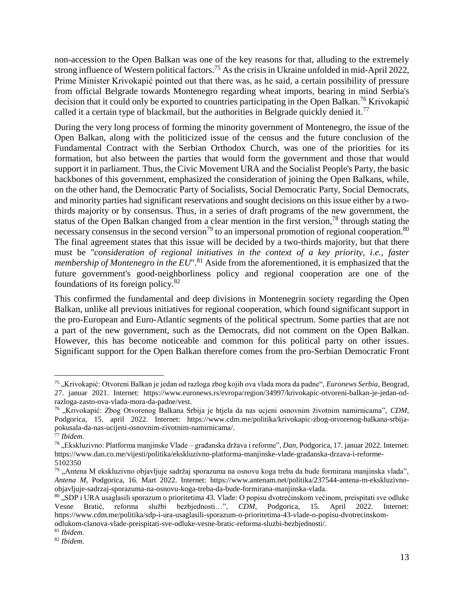non-accession to the Open Balkan was one of the key reasons for that, alluding to the extremely strong influence of Western political factors.<sup>75</sup> As the crisis in Ukraine unfolded in mid-April 2022, Prime Minister Krivokapić pointed out that there was, as he said, a certain possibility of pressure from official Belgrade towards Montenegro regarding wheat imports, bearing in mind Serbia's decision that it could only be exported to countries participating in the Open Balkan.<sup>76</sup> Krivokapić called it a certain type of blackmail, but the authorities in Belgrade quickly denied it.<sup>77</sup>

During the very long process of forming the minority government of Montenegro, the issue of the Open Balkan, along with the politicized issue of the census and the future conclusion of the Fundamental Contract with the Serbian Orthodox Church, was one of the priorities for its formation, but also between the parties that would form the government and those that would support it in parliament. Thus, the Civic Movement URA and the Socialist People's Party, the basic backbones of this government, emphasized the consideration of joining the Open Balkans, while, on the other hand, the Democratic Party of Socialists, Social Democratic Party, Social Democrats, and minority parties had significant reservations and sought decisions on this issue either by a twothirds majority or by consensus. Thus, in a series of draft programs of the new government, the status of the Open Balkan changed from a clear mention in the first version,<sup>78</sup> through stating the necessary consensus in the second version<sup>79</sup> to an impersonal promotion of regional cooperation.<sup>80</sup> The final agreement states that this issue will be decided by a two-thirds majority, but that there must be "*consideration of regional initiatives in the context of a key priority, i.e., faster membership of Montenegro in the EU*".<sup>81</sup> Aside from the aforementioned, it is emphasized that the future government's good-neighborliness policy and regional cooperation are one of the foundations of its foreign policy. $82$ 

This confirmed the fundamental and deep divisions in Montenegrin society regarding the Open Balkan, unlike all previous initiatives for regional cooperation, which found significant support in the pro-European and Euro-Atlantic segments of the political spectrum. Some parties that are not a part of the new government, such as the Democrats, did not comment on the Open Balkan. However, this has become noticeable and common for this political party on other issues. Significant support for the Open Balkan therefore comes from the pro-Serbian Democratic Front

<sup>&</sup>lt;sup>75</sup> "Krivokapić: Otvoreni Balkan je jedan od razloga zbog kojih ova vlada mora da padne", *Euronews Serbia*, Beograd, 27. januar 2021. Internet: https://www.euronews.rs/evropa/region/34997/krivokapic-otvoreni-balkan-je-jedan-odrazloga-zasto-ova-vlada-mora-da-padne/vest.

<sup>76</sup> "Krivokapić: Zbog Otvorenog Balkana Srbija je htjela da nas ucjeni osnovnim životnim namirnicama", *CDM*, Podgorica, 15. april 2022. Internet: https://www.cdm.me/politika/krivokapic-zbog-otvorenog-balkana-srbijapokusala-da-nas-ucijeni-osnovnim-zivotnim-namirnicama/.

<sup>77</sup> *Ibidem*.

<sup>78</sup> "Ekskluzivno: Platforma manjinske Vlade – građanska država i reforme", *Dan*, Podgorica, 17. januar 2022. Internet: https://www.dan.co.me/vijesti/politika/ekskluzivno-platforma-manjinske-vlade-gradanska-drzava-i-reforme-5102350

<sup>&</sup>lt;sup>79</sup> "Antena M ekskluzivno objavljuje sadržaj sporazuma na osnovu koga treba da bude formirana manjinska vlada", *Antena M*, Podgorica, 16. Mart 2022. Internet: https://www.antenam.net/politika/237544-antena-m-ekskluzivnoobjavljuje-sadrzaj-sporazuma-na-osnovu-koga-treba-da-bude-formirana-manjinska-vlada.

<sup>&</sup>lt;sup>80</sup> "SDP i URA usaglasili sporazum o prioritetima 43. Vlade: O popisu dvotrećinskom većinom, preispitati sve odluke Vesne Bratić, reforma službi bezbjednosti…", *CDM*, Podgorica, 15. April 2022. Internet: https://www.cdm.me/politika/sdp-i-ura-usaglasili-sporazum-o-prioritetima-43-vlade-o-popisu-dvotrecinskomodlukom-clanova-vlade-preispitati-sve-odluke-vesne-bratic-reforma-sluzbi-bezbjednosti/.

<sup>81</sup> *Ibidem*.

<sup>82</sup> *Ibidem*.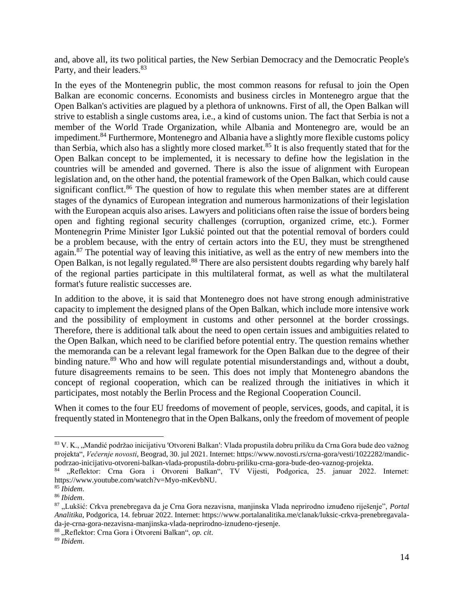and, above all, its two political parties, the New Serbian Democracy and the Democratic People's Party, and their leaders.<sup>83</sup>

In the eyes of the Montenegrin public, the most common reasons for refusal to join the Open Balkan are economic concerns. Economists and business circles in Montenegro argue that the Open Balkan's activities are plagued by a plethora of unknowns. First of all, the Open Balkan will strive to establish a single customs area, i.e., a kind of customs union. The fact that Serbia is not a member of the World Trade Organization, while Albania and Montenegro are, would be an impediment.<sup>84</sup> Furthermore, Montenegro and Albania have a slightly more flexible customs policy than Serbia, which also has a slightly more closed market.<sup>85</sup> It is also frequently stated that for the Open Balkan concept to be implemented, it is necessary to define how the legislation in the countries will be amended and governed. There is also the issue of alignment with European legislation and, on the other hand, the potential framework of the Open Balkan, which could cause significant conflict.<sup>86</sup> The question of how to regulate this when member states are at different stages of the dynamics of European integration and numerous harmonizations of their legislation with the European acquis also arises. Lawyers and politicians often raise the issue of borders being open and fighting regional security challenges (corruption, organized crime, etc.). Former Montenegrin Prime Minister Igor Lukšić pointed out that the potential removal of borders could be a problem because, with the entry of certain actors into the EU, they must be strengthened again.<sup>87</sup> The potential way of leaving this initiative, as well as the entry of new members into the Open Balkan, is not legally regulated.<sup>88</sup> There are also persistent doubts regarding why barely half of the regional parties participate in this multilateral format, as well as what the multilateral format's future realistic successes are.

In addition to the above, it is said that Montenegro does not have strong enough administrative capacity to implement the designed plans of the Open Balkan, which include more intensive work and the possibility of employment in customs and other personnel at the border crossings. Therefore, there is additional talk about the need to open certain issues and ambiguities related to the Open Balkan, which need to be clarified before potential entry. The question remains whether the memoranda can be a relevant legal framework for the Open Balkan due to the degree of their binding nature.<sup>89</sup> Who and how will regulate potential misunderstandings and, without a doubt, future disagreements remains to be seen. This does not imply that Montenegro abandons the concept of regional cooperation, which can be realized through the initiatives in which it participates, most notably the Berlin Process and the Regional Cooperation Council.

When it comes to the four EU freedoms of movement of people, services, goods, and capital, it is frequently stated in Montenegro that in the Open Balkans, only the freedom of movement of people

<sup>83</sup> V. K., "Mandić podržao inicijativu 'Otvoreni Balkan': Vlada propustila dobru priliku da Crna Gora bude deo važnog projekta", *Večernje novosti*, Beograd, 30. jul 2021. Internet: https://www.novosti.rs/crna-gora/vesti/1022282/mandicpodrzao-inicijativu-otvoreni-balkan-vlada-propustila-dobru-priliku-crna-gora-bude-deo-vaznog-projekta.

<sup>84 &</sup>quot;Reflektor: Crna Gora i Otvoreni Balkan", TV Vijesti, Podgorica, 25. januar 2022. Internet: https://www.youtube.com/watch?v=Myo-mKevbNU.

<sup>85</sup> *Ibidem*.

<sup>86</sup> *Ibidem*.

<sup>87</sup> "Lukšić: Crkva prenebregava da je Crna Gora nezavisna, manjinska Vlada neprirodno iznuđeno riješenje", *Portal Analitika*, Podgorica, 14. februar 2022. Internet: https://www.portalanalitika.me/clanak/luksic-crkva-prenebregavalada-je-crna-gora-nezavisna-manjinska-vlada-neprirodno-iznudeno-rjesenje.

<sup>88 &</sup>quot;Reflektor: Crna Gora i Otvoreni Balkan", op. cit.

<sup>89</sup> *Ibidem*.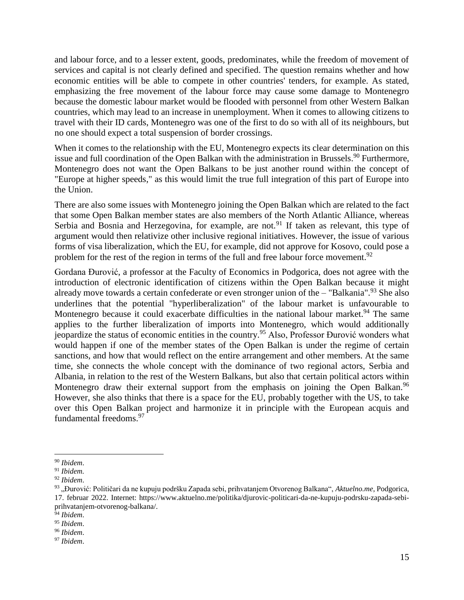and labour force, and to a lesser extent, goods, predominates, while the freedom of movement of services and capital is not clearly defined and specified. The question remains whether and how economic entities will be able to compete in other countries' tenders, for example. As stated, emphasizing the free movement of the labour force may cause some damage to Montenegro because the domestic labour market would be flooded with personnel from other Western Balkan countries, which may lead to an increase in unemployment. When it comes to allowing citizens to travel with their ID cards, Montenegro was one of the first to do so with all of its neighbours, but no one should expect a total suspension of border crossings.

When it comes to the relationship with the EU, Montenegro expects its clear determination on this issue and full coordination of the Open Balkan with the administration in Brussels.<sup>90</sup> Furthermore, Montenegro does not want the Open Balkans to be just another round within the concept of "Europe at higher speeds," as this would limit the true full integration of this part of Europe into the Union.

There are also some issues with Montenegro joining the Open Balkan which are related to the fact that some Open Balkan member states are also members of the North Atlantic Alliance, whereas Serbia and Bosnia and Herzegovina, for example, are not.<sup>91</sup> If taken as relevant, this type of argument would then relativize other inclusive regional initiatives. However, the issue of various forms of visa liberalization, which the EU, for example, did not approve for Kosovo, could pose a problem for the rest of the region in terms of the full and free labour force movement.<sup>92</sup>

Gordana Đurović, a professor at the Faculty of Economics in Podgorica, does not agree with the introduction of electronic identification of citizens within the Open Balkan because it might already move towards a certain confederate or even stronger union of the  $-$  "Balkania".<sup>93</sup> She also underlines that the potential "hyperliberalization" of the labour market is unfavourable to Montenegro because it could exacerbate difficulties in the national labour market.<sup>94</sup> The same applies to the further liberalization of imports into Montenegro, which would additionally jeopardize the status of economic entities in the country.<sup>95</sup> Also, Professor Đurović wonders what would happen if one of the member states of the Open Balkan is under the regime of certain sanctions, and how that would reflect on the entire arrangement and other members. At the same time, she connects the whole concept with the dominance of two regional actors, Serbia and Albania, in relation to the rest of the Western Balkans, but also that certain political actors within Montenegro draw their external support from the emphasis on joining the Open Balkan.<sup>96</sup> However, she also thinks that there is a space for the EU, probably together with the US, to take over this Open Balkan project and harmonize it in principle with the European acquis and fundamental freedoms.<sup>97</sup>

 $\overline{a}$ <sup>90</sup> *Ibidem*.

<sup>91</sup> *Ibidem.*

<sup>92</sup> *Ibidem*.

<sup>93</sup> "Đurović: Političari da ne kupuju podršku Zapada sebi, prihvatanjem Otvorenog Balkana", *Aktuelno.me*, Podgorica, 17. februar 2022. Internet: https://www.aktuelno.me/politika/djurovic-politicari-da-ne-kupuju-podrsku-zapada-sebiprihvatanjem-otvorenog-balkana/.

<sup>94</sup> *Ibidem*.

<sup>95</sup> *Ibidem*.

<sup>96</sup> *Ibidem*.

<sup>97</sup> *Ibidem*.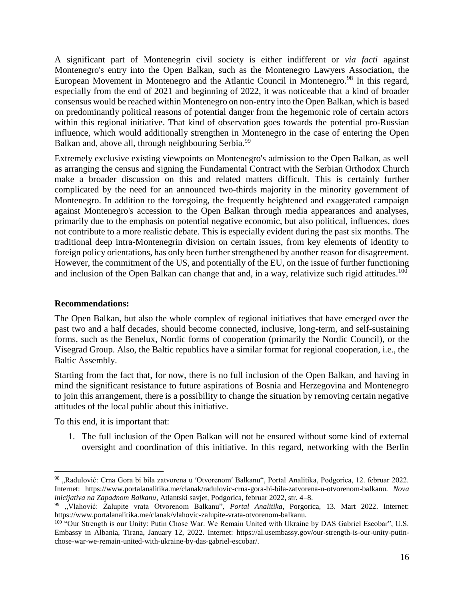A significant part of Montenegrin civil society is either indifferent or *via facti* against Montenegro's entry into the Open Balkan, such as the Montenegro Lawyers Association, the European Movement in Montenegro and the Atlantic Council in Montenegro.<sup>98</sup> In this regard, especially from the end of 2021 and beginning of 2022, it was noticeable that a kind of broader consensus would be reached within Montenegro on non-entry into the Open Balkan, which is based on predominantly political reasons of potential danger from the hegemonic role of certain actors within this regional initiative. That kind of observation goes towards the potential pro-Russian influence, which would additionally strengthen in Montenegro in the case of entering the Open Balkan and, above all, through neighbouring Serbia.<sup>99</sup>

Extremely exclusive existing viewpoints on Montenegro's admission to the Open Balkan, as well as arranging the census and signing the Fundamental Contract with the Serbian Orthodox Church make a broader discussion on this and related matters difficult. This is certainly further complicated by the need for an announced two-thirds majority in the minority government of Montenegro. In addition to the foregoing, the frequently heightened and exaggerated campaign against Montenegro's accession to the Open Balkan through media appearances and analyses, primarily due to the emphasis on potential negative economic, but also political, influences, does not contribute to a more realistic debate. This is especially evident during the past six months. The traditional deep intra-Montenegrin division on certain issues, from key elements of identity to foreign policy orientations, has only been further strengthened by another reason for disagreement. However, the commitment of the US, and potentially of the EU, on the issue of further functioning and inclusion of the Open Balkan can change that and, in a way, relativize such rigid attitudes.<sup>100</sup>

### **Recommendations:**

The Open Balkan, but also the whole complex of regional initiatives that have emerged over the past two and a half decades, should become connected, inclusive, long-term, and self-sustaining forms, such as the Benelux, Nordic forms of cooperation (primarily the Nordic Council), or the Visegrad Group. Also, the Baltic republics have a similar format for regional cooperation, i.e., the Baltic Assembly.

Starting from the fact that, for now, there is no full inclusion of the Open Balkan, and having in mind the significant resistance to future aspirations of Bosnia and Herzegovina and Montenegro to join this arrangement, there is a possibility to change the situation by removing certain negative attitudes of the local public about this initiative.

To this end, it is important that:

 $\overline{a}$ 

1. The full inclusion of the Open Balkan will not be ensured without some kind of external oversight and coordination of this initiative. In this regard, networking with the Berlin

<sup>98 &</sup>quot;Radulović: Crna Gora bi bila zatvorena u 'Otvorenom' Balkanu", Portal Analitika, Podgorica, 12. februar 2022. Internet: https://www.portalanalitika.me/clanak/radulovic-crna-gora-bi-bila-zatvorena-u-otvorenom-balkanu. *Nova inicijativa na Zapadnom Balkanu*, Atlantski savjet, Podgorica, februar 2022, str. 4–8.

<sup>99</sup> "Vlahović: Zalupite vrata Otvorenom Balkanu", *Portal Analitika*, Porgorica, 13. Mart 2022. Internet: https://www.portalanalitika.me/clanak/vlahovic-zalupite-vrata-otvorenom-balkanu.

<sup>&</sup>lt;sup>100</sup> "Our Strength is our Unity: Putin Chose War. We Remain United with Ukraine by DAS Gabriel Escobar", U.S. Embassy in Albania, Tirana, January 12, 2022. Internet: https://al.usembassy.gov/our-strength-is-our-unity-putinchose-war-we-remain-united-with-ukraine-by-das-gabriel-escobar/.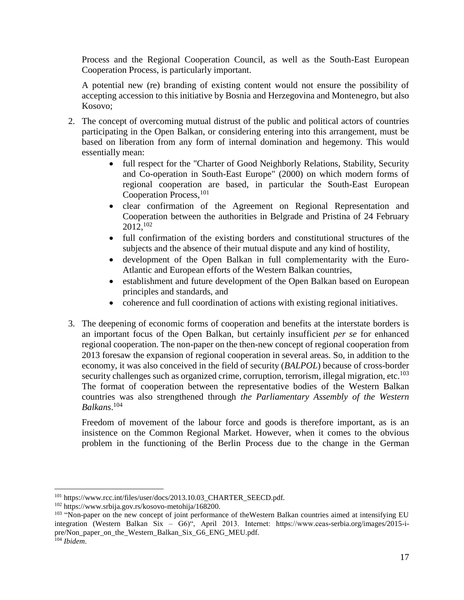Process and the Regional Cooperation Council, as well as the South-East European Cooperation Process, is particularly important.

A potential new (re) branding of existing content would not ensure the possibility of accepting accession to this initiative by Bosnia and Herzegovina and Montenegro, but also Kosovo;

- 2. The concept of overcoming mutual distrust of the public and political actors of countries participating in the Open Balkan, or considering entering into this arrangement, must be based on liberation from any form of internal domination and hegemony. This would essentially mean:
	- full respect for the "Charter of Good Neighborly Relations, Stability, Security and Co-operation in South-East Europe" (2000) on which modern forms of regional cooperation are based, in particular the South-East European Cooperation Process, <sup>101</sup>
	- clear confirmation of the Agreement on Regional Representation and Cooperation between the authorities in Belgrade and Pristina of 24 February  $2012,102$
	- full confirmation of the existing borders and constitutional structures of the subjects and the absence of their mutual dispute and any kind of hostility,
	- development of the Open Balkan in full complementarity with the Euro-Atlantic and European efforts of the Western Balkan countries,
	- establishment and future development of the Open Balkan based on European principles and standards, and
	- coherence and full coordination of actions with existing regional initiatives.
- 3. The deepening of economic forms of cooperation and benefits at the interstate borders is an important focus of the Open Balkan, but certainly insufficient *per se* for enhanced regional cooperation. The non-paper on the then-new concept of regional cooperation from 2013 foresaw the expansion of regional cooperation in several areas. So, in addition to the economy, it was also conceived in the field of security (*BALPOL*) because of cross-border security challenges such as organized crime, corruption, terrorism, illegal migration, etc.<sup>103</sup> The format of cooperation between the representative bodies of the Western Balkan countries was also strengthened through *the Parliamentary Assembly of the Western Balkans*. 104

Freedom of movement of the labour force and goods is therefore important, as is an insistence on the Common Regional Market. However, when it comes to the obvious problem in the functioning of the Berlin Process due to the change in the German

<sup>&</sup>lt;sup>101</sup> https://www.rcc.int/files/user/docs/2013.10.03 CHARTER SEECD.pdf.

<sup>102</sup> https://www.srbija.gov.rs/kosovo-metohija/168200.

<sup>&</sup>lt;sup>103</sup> "Non-paper on the new concept of joint performance of theWestern Balkan countries aimed at intensifying EU integration (Western Balkan Six – G6)", April 2013. Internet: https://www.ceas-serbia.org/images/2015-ipre/Non\_paper\_on\_the\_Western\_Balkan\_Six\_G6\_ENG\_MEU.pdf.

<sup>104</sup> *Ibidem*.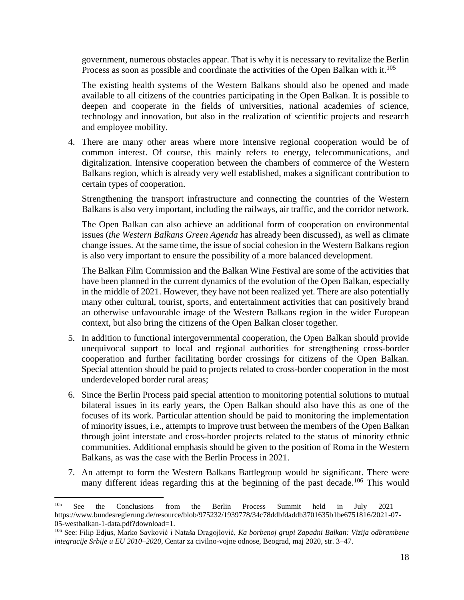government, numerous obstacles appear. That is why it is necessary to revitalize the Berlin Process as soon as possible and coordinate the activities of the Open Balkan with it.<sup>105</sup>

The existing health systems of the Western Balkans should also be opened and made available to all citizens of the countries participating in the Open Balkan. It is possible to deepen and cooperate in the fields of universities, national academies of science, technology and innovation, but also in the realization of scientific projects and research and employee mobility.

4. There are many other areas where more intensive regional cooperation would be of common interest. Of course, this mainly refers to energy, telecommunications, and digitalization. Intensive cooperation between the chambers of commerce of the Western Balkans region, which is already very well established, makes a significant contribution to certain types of cooperation.

Strengthening the transport infrastructure and connecting the countries of the Western Balkans is also very important, including the railways, air traffic, and the corridor network.

The Open Balkan can also achieve an additional form of cooperation on environmental issues (*the Western Balkans Green Agenda* has already been discussed), as well as climate change issues. At the same time, the issue of social cohesion in the Western Balkans region is also very important to ensure the possibility of a more balanced development.

The Balkan Film Commission and the Balkan Wine Festival are some of the activities that have been planned in the current dynamics of the evolution of the Open Balkan, especially in the middle of 2021. However, they have not been realized yet. There are also potentially many other cultural, tourist, sports, and entertainment activities that can positively brand an otherwise unfavourable image of the Western Balkans region in the wider European context, but also bring the citizens of the Open Balkan closer together.

- 5. In addition to functional intergovernmental cooperation, the Open Balkan should provide unequivocal support to local and regional authorities for strengthening cross-border cooperation and further facilitating border crossings for citizens of the Open Balkan. Special attention should be paid to projects related to cross-border cooperation in the most underdeveloped border rural areas;
- 6. Since the Berlin Process paid special attention to monitoring potential solutions to mutual bilateral issues in its early years, the Open Balkan should also have this as one of the focuses of its work. Particular attention should be paid to monitoring the implementation of minority issues, i.e., attempts to improve trust between the members of the Open Balkan through joint interstate and cross-border projects related to the status of minority ethnic communities. Additional emphasis should be given to the position of Roma in the Western Balkans, as was the case with the Berlin Process in 2021.
- 7. An attempt to form the Western Balkans Battlegroup would be significant. There were many different ideas regarding this at the beginning of the past decade.<sup>106</sup> This would

<sup>&</sup>lt;sup>105</sup> See the Conclusions from the Berlin Process Summit held in July 2021 – https://www.bundesregierung.de/resource/blob/975232/1939778/34c78ddbfdaddb3701635b1be6751816/2021-07- 05-westbalkan-1-data.pdf?download=1.

<sup>106</sup> See: Filip Edjus, Marko Savković i Nataša Dragojlović, *Ka borbenoj grupi Zapadni Balkan: Vizija odbrambene integracije Srbije u EU 2010–2020*, Centar za civilno-vojne odnose, Beograd, maj 2020, str. 3–47.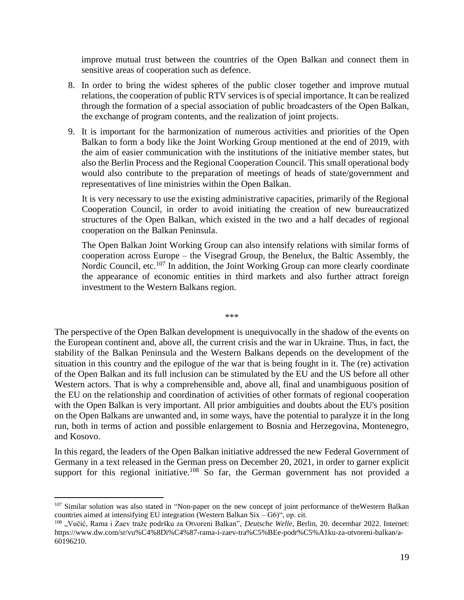improve mutual trust between the countries of the Open Balkan and connect them in sensitive areas of cooperation such as defence.

- 8. In order to bring the widest spheres of the public closer together and improve mutual relations, the cooperation of public RTV services is of special importance. It can be realized through the formation of a special association of public broadcasters of the Open Balkan, the exchange of program contents, and the realization of joint projects.
- 9. It is important for the harmonization of numerous activities and priorities of the Open Balkan to form a body like the Joint Working Group mentioned at the end of 2019, with the aim of easier communication with the institutions of the initiative member states, but also the Berlin Process and the Regional Cooperation Council. This small operational body would also contribute to the preparation of meetings of heads of state/government and representatives of line ministries within the Open Balkan.

It is very necessary to use the existing administrative capacities, primarily of the Regional Cooperation Council, in order to avoid initiating the creation of new bureaucratized structures of the Open Balkan, which existed in the two and a half decades of regional cooperation on the Balkan Peninsula.

The Open Balkan Joint Working Group can also intensify relations with similar forms of cooperation across Europe – the Visegrad Group, the Benelux, the Baltic Assembly, the Nordic Council, etc.<sup>107</sup> In addition, the Joint Working Group can more clearly coordinate the appearance of economic entities in third markets and also further attract foreign investment to the Western Balkans region.

\*\*\*

The perspective of the Open Balkan development is unequivocally in the shadow of the events on the European continent and, above all, the current crisis and the war in Ukraine. Thus, in fact, the stability of the Balkan Peninsula and the Western Balkans depends on the development of the situation in this country and the epilogue of the war that is being fought in it. The (re) activation of the Open Balkan and its full inclusion can be stimulated by the EU and the US before all other Western actors. That is why a comprehensible and, above all, final and unambiguous position of the EU on the relationship and coordination of activities of other formats of regional cooperation with the Open Balkan is very important. All prior ambiguities and doubts about the EU's position on the Open Balkans are unwanted and, in some ways, have the potential to paralyze it in the long run, both in terms of action and possible enlargement to Bosnia and Herzegovina, Montenegro, and Kosovo.

In this regard, the leaders of the Open Balkan initiative addressed the new Federal Government of Germany in a text released in the German press on December 20, 2021, in order to garner explicit support for this regional initiative.<sup>108</sup> So far, the German government has not provided a

<sup>&</sup>lt;sup>107</sup> Similar solution was also stated in "Non-paper on the new concept of joint performance of theWestern Balkan countries aimed at intensifying EU integration (Western Balkan Six – G6)", op. cit.

<sup>&</sup>lt;sup>108</sup> "Vučić, Rama i Zaev traže podršku za Otvoreni Balkan", *Deutsche Welle*, Berlin, 20. decembar 2022. Internet: https://www.dw.com/sr/vu%C4%8Di%C4%87-rama-i-zaev-tra%C5%BEe-podr%C5%A1ku-za-otvoreni-balkan/a-60196210.